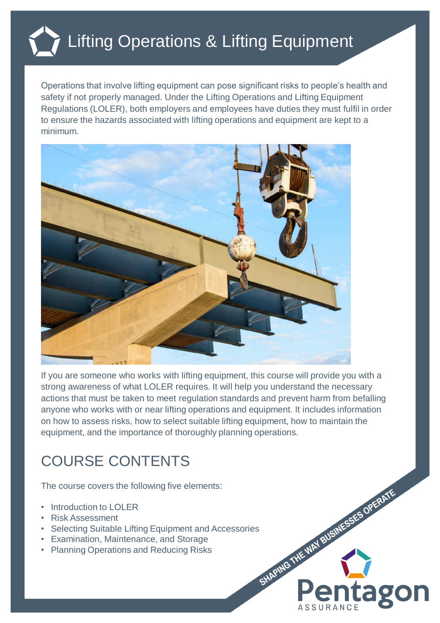## Lifting Operations & Lifting Equipment

Operations that involve lifting equipment can pose significant risks to people's health and safety if not properly managed. Under the Lifting Operations and Lifting Equipment Regulations (LOLER), both employers and employees have duties they must fulfil in order to ensure the hazards associated with lifting operations and equipment are kept to a minimum.



If you are someone who works with lifting equipment, this course will provide you with a strong awareness of what LOLER requires. It will help you understand the necessary actions that must be taken to meet regulation standards and prevent harm from befalling anyone who works with or near lifting operations and equipment. It includes information on how to assess risks, how to select suitable lifting equipment, how to maintain the equipment, and the importance of thoroughly planning operations.

**ag** 

## COURSE CONTENTS

The course covers the following five elements:

- Introduction to LOLER
- Risk Assessment
- Selecting Suitable Lifting Equipment and Accessories<br>• Examination, Maintenance, and Storage<br>• Planning Operations and Reducing Risks
- Examination, Maintenance, and Storage
- Planning Operations and Reducing Risks